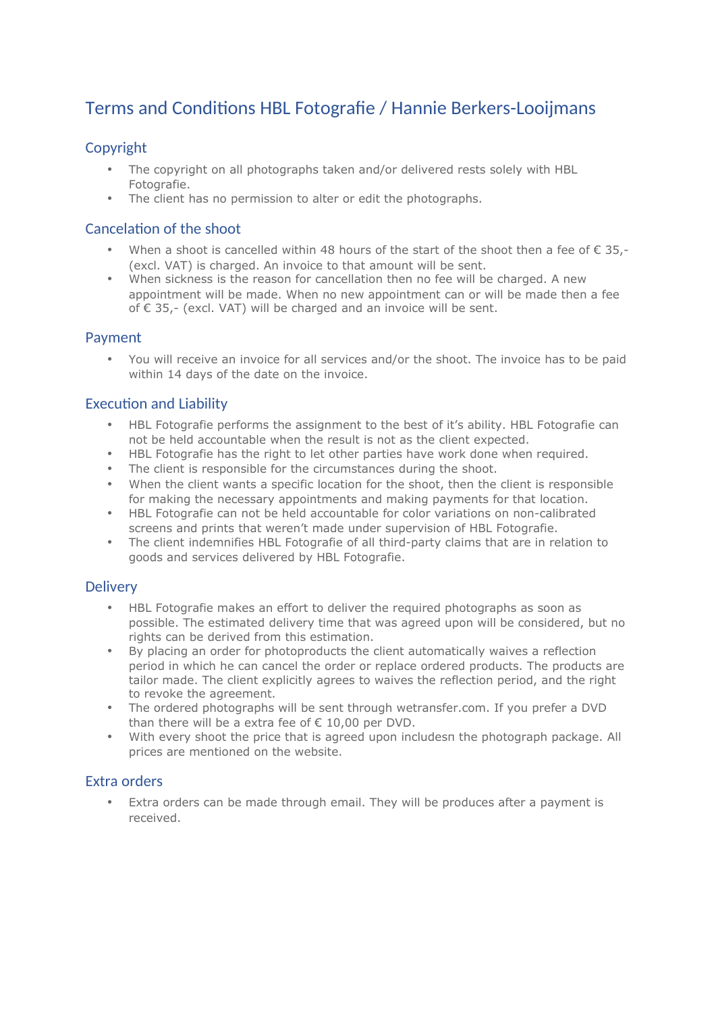# Terms and Conditions HBL Fotografie / Hannie Berkers-Looijmans

## Copyright

- The copyright on all photographs taken and/or delivered rests solely with HBL Fotografie.
- The client has no permission to alter or edit the photographs.

#### Cancelation of the shoot

- When a shoot is cancelled within 48 hours of the start of the shoot then a fee of  $\epsilon$  35,-(excl. VAT) is charged. An invoice to that amount will be sent.
- When sickness is the reason for cancellation then no fee will be charged. A new appointment will be made. When no new appointment can or will be made then a fee of € 35,- (excl. VAT) will be charged and an invoice will be sent.

#### Payment

• You will receive an invoice for all services and/or the shoot. The invoice has to be paid within 14 days of the date on the invoice.

## **Execution and Liability**

- HBL Fotografie performs the assignment to the best of it's ability. HBL Fotografie can not be held accountable when the result is not as the client expected.
- HBL Fotografie has the right to let other parties have work done when required.
- The client is responsible for the circumstances during the shoot.
- When the client wants a specific location for the shoot, then the client is responsible for making the necessary appointments and making payments for that location.
- HBL Fotografie can not be held accountable for color variations on non-calibrated screens and prints that weren't made under supervision of HBL Fotografie.
- The client indemnifies HBL Fotografie of all third-party claims that are in relation to goods and services delivered by HBL Fotografie.

#### **Delivery**

- HBL Fotografie makes an effort to deliver the required photographs as soon as possible. The estimated delivery time that was agreed upon will be considered, but no rights can be derived from this estimation.
- By placing an order for photoproducts the client automatically waives a reflection period in which he can cancel the order or replace ordered products. The products are tailor made. The client explicitly agrees to waives the reflection period, and the right to revoke the agreement.
- The ordered photographs will be sent through wetransfer.com. If you prefer a DVD than there will be a extra fee of  $\epsilon$  10.00 per DVD.
- With every shoot the price that is agreed upon includesπ the photograph package. All prices are mentioned on the website.

#### Extra orders

• Extra orders can be made through email. They will be produces after a payment is received.